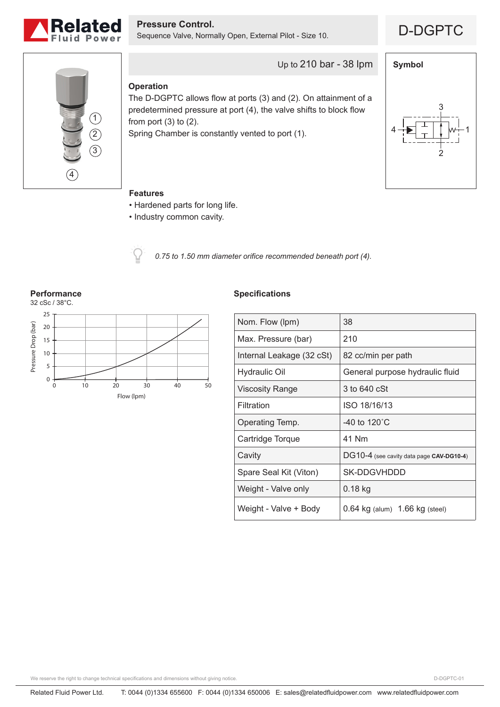

**Pressure Control.**<br>Sequence Valve, Normally Open, External Pilot - Size 10. **D**-DGPTC





# Up to 210 bar - 38 lpm

## **Operation**

The D-DGPTC allows flow at ports (3) and (2). On attainment of a predetermined pressure at port (4), the valve shifts to block flow from port  $(3)$  to  $(2)$ .

Spring Chamber is constantly vented to port (1).



### **Features**

- Hardened parts for long life.
- Industry common cavity.



*0.75 to 1.50 mm diameter orifice recommended beneath port (4).*

**Performance** 32 cSc / 38°C. 25 Pressure Drop (bar) Pressure Drop (bar) 20 15 10 5 0 0 10 20 30 40 50 Flow (lpm)

### **Specifications**

| Nom. Flow (lpm)           | 38                                       |
|---------------------------|------------------------------------------|
| Max. Pressure (bar)       | 210                                      |
| Internal Leakage (32 cSt) | 82 cc/min per path                       |
| <b>Hydraulic Oil</b>      | General purpose hydraulic fluid          |
| Viscosity Range           | 3 to 640 cSt                             |
| Filtration                | ISO 18/16/13                             |
| Operating Temp.           | -40 to $120^{\circ}$ C                   |
| Cartridge Torque          | 41 Nm                                    |
| Cavity                    | DG10-4 (see cavity data page CAV-DG10-4) |
| Spare Seal Kit (Viton)    | SK-DDGVHDDD                              |
| Weight - Valve only       | 0.18 kg                                  |
| Weight - Valve + Body     | $0.64$ kg (alum) $1.66$ kg (steel)       |

We reserve the right to change technical specifications and dimensions without giving notice.